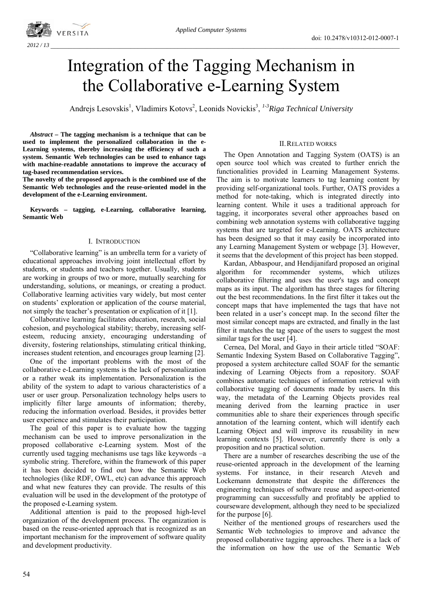

# Integration of the Tagging Mechanism in the Collaborative e-Learning System

Andrejs Lesovskis<sup>1</sup>, Vladimirs Kotovs<sup>2</sup>, Leonids Novickis<sup>3</sup>, <sup>1-3</sup>Riga Technical University

*Abstract –* **The tagging mechanism is a technique that can be used to implement the personalized collaboration in the e-Learning systems, thereby increasing the efficiency of such a system. Semantic Web technologies can be used to enhance tags with machine-readable annotations to improve the accuracy of tag-based recommendation services.** 

**The novelty of the proposed approach is the combined use of the Semantic Web technologies and the reuse-oriented model in the development of the e-Learning environment.** 

**Keywords – tagging, e-Learning, collaborative learning, Semantic Web** 

## I. INTRODUCTION

"Collaborative learning" is an umbrella term for a variety of educational approaches involving joint intellectual effort by students, or students and teachers together. Usually, students are working in groups of two or more, mutually searching for understanding, solutions, or meanings, or creating a product. Collaborative learning activities vary widely, but most center on students' exploration or application of the course material, not simply the teacher's presentation or explication of it [1].

Collaborative learning facilitates education, research, social cohesion, and psychological stability; thereby, increasing selfesteem, reducing anxiety, encouraging understanding of diversity, fostering relationships, stimulating critical thinking, increases student retention, and encourages group learning [2].

One of the important problems with the most of the collaborative e-Learning systems is the lack of personalization or a rather weak its implementation. Personalization is the ability of the system to adapt to various characteristics of a user or user group. Personalization technology helps users to implicitly filter large amounts of information; thereby, reducing the information overload. Besides, it provides better user experience and stimulates their participation.

The goal of this paper is to evaluate how the tagging mechanism can be used to improve personalization in the proposed collaborative e-Learning system. Most of the currently used tagging mechanisms use tags like keywords –a symbolic string. Therefore, within the framework of this paper it has been decided to find out how the Semantic Web technologies (like RDF, OWL, etc) can advance this approach and what new features they can provide. The results of this evaluation will be used in the development of the prototype of the proposed e-Learning system.

Additional attention is paid to the proposed high-level organization of the development process. The organization is based on the reuse-oriented approach that is recognized as an important mechanism for the improvement of software quality and development productivity.

## II.RELATED WORKS

The Open Annotation and Tagging System (OATS) is an open source tool which was created to further enrich the functionalities provided in Learning Management Systems. The aim is to motivate learners to tag learning content by providing self-organizational tools. Further, OATS provides a method for note-taking, which is integrated directly into learning content. While it uses a traditional approach for tagging, it incorporates several other approaches based on combining web annotation systems with collaborative tagging systems that are targeted for e-Learning. OATS architecture has been designed so that it may easily be incorporated into any Learning Management System or webpage [3]. However, it seems that the development of this project has been stopped.

Kardan, Abbaspour, and Hendijanifard proposed an original algorithm for recommender systems, which utilizes collaborative filtering and uses the user's tags and concept maps as its input. The algorithm has three stages for filtering out the best recommendations. In the first filter it takes out the concept maps that have implemented the tags that have not been related in a user's concept map. In the second filter the most similar concept maps are extracted, and finally in the last filter it matches the tag space of the users to suggest the most similar tags for the user [4].

Cernea, Del Moral, and Gayo in their article titled "SOAF: Semantic Indexing System Based on Collaborative Tagging", proposed a system architecture called SOAF for the semantic indexing of Learning Objects from a repository. SOAF combines automatic techniques of information retrieval with collaborative tagging of documents made by users. In this way, the metadata of the Learning Objects provides real meaning derived from the learning practice in user communities able to share their experiences through specific annotation of the learning content, which will identify each Learning Object and will improve its reusability in new learning contexts [5]. However, currently there is only a proposition and no practical solution.

There are a number of researches describing the use of the reuse-oriented approach in the development of the learning systems. For instance, in their research Ateveh and Lockemann demonstrate that despite the differences the engineering techniques of software reuse and aspect-oriented programming can successfully and profitably be applied to courseware development, although they need to be specialized for the purpose [6].

Neither of the mentioned groups of researchers used the Semantic Web technologies to improve and advance the proposed collaborative tagging approaches. There is a lack of the information on how the use of the Semantic Web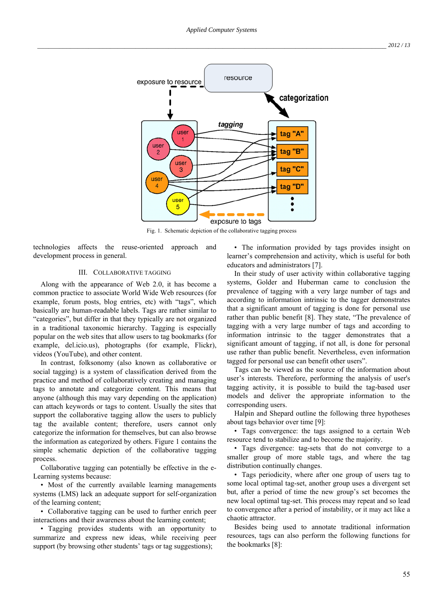

Fig. 1. Schematic depiction of the collaborative tagging process

technologies affects the reuse-oriented approach and development process in general.

# III. COLLABORATIVE TAGGING

Along with the appearance of Web 2.0, it has become a common practice to associate World Wide Web resources (for example, forum posts, blog entries, etc) with "tags", which basically are human-readable labels. Tags are rather similar to "categories", but differ in that they typically are not organized in a traditional taxonomic hierarchy. Tagging is especially popular on the web sites that allow users to tag bookmarks (for example, del.icio.us), photographs (for example, Flickr), videos (YouTube), and other content.

In contrast, folksonomy (also known as collaborative or social tagging) is a system of classification derived from the practice and method of collaboratively creating and managing tags to annotate and categorize content. This means that anyone (although this may vary depending on the application) can attach keywords or tags to content. Usually the sites that support the collaborative tagging allow the users to publicly tag the available content; therefore, users cannot only categorize the information for themselves, but can also browse the information as categorized by others. Figure 1 contains the simple schematic depiction of the collaborative tagging process.

Collaborative tagging can potentially be effective in the e-Learning systems because:

• Most of the currently available learning managements systems (LMS) lack an adequate support for self-organization of the learning content;

• Collaborative tagging can be used to further enrich peer interactions and their awareness about the learning content;

• Tagging provides students with an opportunity to summarize and express new ideas, while receiving peer support (by browsing other students' tags or tag suggestions);

• The information provided by tags provides insight on learner's comprehension and activity, which is useful for both educators and administrators [7].

In their study of user activity within collaborative tagging systems, Golder and Huberman came to conclusion the prevalence of tagging with a very large number of tags and according to information intrinsic to the tagger demonstrates that a significant amount of tagging is done for personal use rather than public benefit [8]. They state, "The prevalence of tagging with a very large number of tags and according to information intrinsic to the tagger demonstrates that a significant amount of tagging, if not all, is done for personal use rather than public benefit. Nevertheless, even information tagged for personal use can benefit other users".

Tags can be viewed as the source of the information about user's interests. Therefore, performing the analysis of user's tagging activity, it is possible to build the tag-based user models and deliver the appropriate information to the corresponding users.

Halpin and Shepard outline the following three hypotheses about tags behavior over time [9]:

• Tags convergence: the tags assigned to a certain Web resource tend to stabilize and to become the majority.

• Tags divergence: tag-sets that do not converge to a smaller group of more stable tags, and where the tag distribution continually changes.

• Tags periodicity, where after one group of users tag to some local optimal tag-set, another group uses a divergent set but, after a period of time the new group's set becomes the new local optimal tag-set. This process may repeat and so lead to convergence after a period of instability, or it may act like a chaotic attractor.

Besides being used to annotate traditional information resources, tags can also perform the following functions for the bookmarks [8]: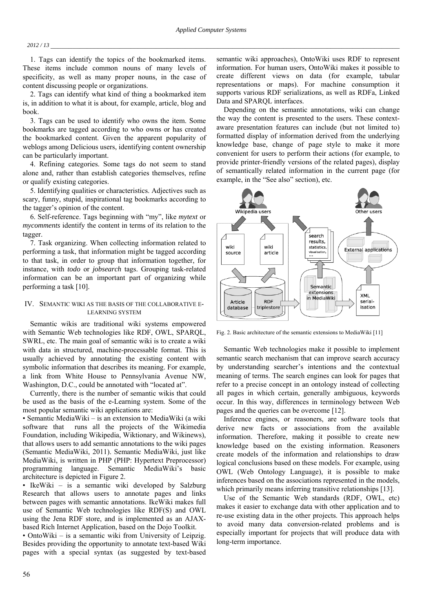1. Tags can identify the topics of the bookmarked items. These items include common nouns of many levels of specificity, as well as many proper nouns, in the case of content discussing people or organizations.

2. Tags can identify what kind of thing a bookmarked item is, in addition to what it is about, for example, article, blog and book.

3. Tags can be used to identify who owns the item. Some bookmarks are tagged according to who owns or has created the bookmarked content. Given the apparent popularity of weblogs among Delicious users, identifying content ownership can be particularly important.

4. Refining categories. Some tags do not seem to stand alone and, rather than establish categories themselves, refine or qualify existing categories.

5. Identifying qualities or characteristics. Adjectives such as scary, funny, stupid, inspirational tag bookmarks according to the tagger's opinion of the content.

6. Self-reference. Tags beginning with "my", like *mytext* or *mycomments* identify the content in terms of its relation to the tagger.

7. Task organizing. When collecting information related to performing a task, that information might be tagged according to that task, in order to group that information together, for instance, with *todo* or *jobsearch* tags. Grouping task-related information can be an important part of organizing while performing a task [10].

### IV. SEMANTIC WIKI AS THE BASIS OF THE COLLABORATIVE E-LEARNING SYSTEM

Semantic wikis are traditional wiki systems empowered with Semantic Web technologies like RDF, OWL, SPAROL, SWRL, etc. The main goal of semantic wiki is to create a wiki with data in structured, machine-processable format. This is usually achieved by annotating the existing content with symbolic information that describes its meaning. For example, a link from White House to Pennsylvania Avenue NW, Washington, D.C., could be annotated with "located at".

Currently, there is the number of semantic wikis that could be used as the basis of the e-Learning system. Some of the most popular semantic wiki applications are:

• Semantic MediaWiki – is an extension to MediaWiki (a wiki software that runs all the projects of the Wikimedia Foundation, including Wikipedia, Wiktionary, and Wikinews), that allows users to add semantic annotations to the wiki pages (Semantic MediaWiki, 2011). Semantic MediaWiki, just like MediaWiki, is written in PHP (PHP: Hypertext Preprocessor) programming language. Semantic MediaWiki's basic architecture is depicted in Figure 2.

• IkeWiki – is a semantic wiki developed by Salzburg Research that allows users to annotate pages and links between pages with semantic annotations. IkeWiki makes full use of Semantic Web technologies like RDF(S) and OWL using the Jena RDF store, and is implemented as an AJAXbased Rich Internet Application, based on the Dojo Toolkit.

• OntoWiki – is a semantic wiki from University of Leipzig. Besides providing the opportunity to annotate text-based Wiki pages with a special syntax (as suggested by text-based semantic wiki approaches), OntoWiki uses RDF to represent information. For human users, OntoWiki makes it possible to create different views on data (for example, tabular representations or maps). For machine consumption it supports various RDF serializations, as well as RDFa, Linked Data and SPARQL interfaces.

Depending on the semantic annotations, wiki can change the way the content is presented to the users. These contextaware presentation features can include (but not limited to) formatted display of information derived from the underlying knowledge base, change of page style to make it more convenient for users to perform their actions (for example, to provide printer-friendly versions of the related pages), display of semantically related information in the current page (for example, in the "See also" section), etc.



Fig. 2. Basic architecture of the semantic extensions to MediaWiki [11]

Semantic Web technologies make it possible to implement semantic search mechanism that can improve search accuracy by understanding searcher's intentions and the contextual meaning of terms. The search engines can look for pages that refer to a precise concept in an ontology instead of collecting all pages in which certain, generally ambiguous, keywords occur. In this way, differences in terminology between Web pages and the queries can be overcome [12].

Inference engines, or reasoners, are software tools that derive new facts or associations from the available information. Therefore, making it possible to create new knowledge based on the existing information. Reasoners create models of the information and relationships to draw logical conclusions based on these models. For example, using OWL (Web Ontology Language), it is possible to make inferences based on the associations represented in the models, which primarily means inferring transitive relationships [13].

Use of the Semantic Web standards (RDF, OWL, etc) makes it easier to exchange data with other application and to re-use existing data in the other projects. This approach helps to avoid many data conversion-related problems and is especially important for projects that will produce data with long-term importance.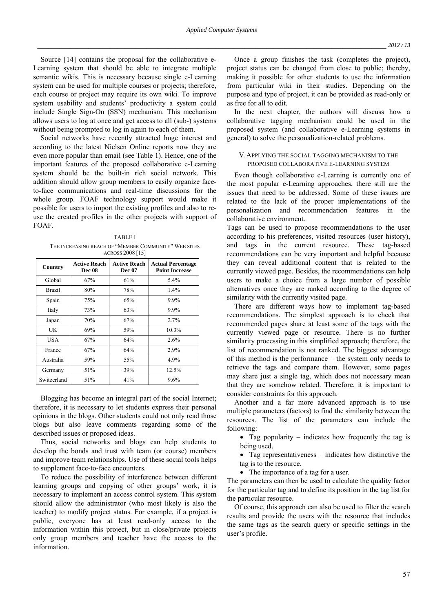Source [14] contains the proposal for the collaborative e-Learning system that should be able to integrate multiple semantic wikis. This is necessary because single e-Learning system can be used for multiple courses or projects; therefore, each course or project may require its own wiki. To improve system usability and students' productivity a system could include Single Sign-On (SSN) mechanism. This mechanism allows users to log at once and get access to all (sub-) systems without being prompted to log in again to each of them.

Social networks have recently attracted huge interest and according to the latest Nielsen Online reports now they are even more popular than email (see Table 1). Hence, one of the important features of the proposed collaborative e-Learning system should be the built-in rich social network. This addition should allow group members to easily organize faceto-face communications and real-time discussions for the whole group. FOAF technology support would make it possible for users to import the existing profiles and also to reuse the created profiles in the other projects with support of FOAF.

TABLE I THE INCREASING REACH OF "MEMBER COMMUNITY" WEB SITES ACROSS 2008 [15]

| Country       | <b>Active Reach</b><br><b>Dec 08</b> | <b>Active Reach</b><br><b>Dec 07</b> | <b>Actual Percentage</b><br><b>Point Increase</b> |
|---------------|--------------------------------------|--------------------------------------|---------------------------------------------------|
| Global        | 67%                                  | 61%                                  | 5.4%                                              |
| <b>Brazil</b> | 80%                                  | 78%                                  | 1.4%                                              |
| Spain         | 75%                                  | 65%                                  | 9.9%                                              |
| Italy         | 73%                                  | 63%                                  | 9.9%                                              |
| Japan         | 70%                                  | 67%                                  | 2.7%                                              |
| UK            | 69%                                  | 59%                                  | 10.3%                                             |
| USA           | 67%                                  | 64%                                  | 2.6%                                              |
| France        | 67%                                  | 64%                                  | 2.9%                                              |
| Australia     | 59%                                  | 55%                                  | 4.9%                                              |
| Germany       | 51%                                  | 39%                                  | 12.5%                                             |
| Switzerland   | 51%                                  | 41%                                  | 9.6%                                              |

Blogging has become an integral part of the social Internet; therefore, it is necessary to let students express their personal opinions in the blogs. Other students could not only read those blogs but also leave comments regarding some of the described issues or proposed ideas.

Thus, social networks and blogs can help students to develop the bonds and trust with team (or course) members and improve team relationships. Use of these social tools helps to supplement face-to-face encounters.

To reduce the possibility of interference between different learning groups and copying of other groups' work, it is necessary to implement an access control system. This system should allow the administrator (who most likely is also the teacher) to modify project status. For example, if a project is public, everyone has at least read-only access to the information within this project, but in close/private projects only group members and teacher have the access to the information.

Once a group finishes the task (completes the project), project status can be changed from close to public; thereby, making it possible for other students to use the information from particular wiki in their studies. Depending on the purpose and type of project, it can be provided as read-only or as free for all to edit.

In the next chapter, the authors will discuss how a collaborative tagging mechanism could be used in the proposed system (and collaborative e-Learning systems in general) to solve the personalization-related problems.

## V.APPLYING THE SOCIAL TAGGING MECHANISM TO THE PROPOSED COLLABORATIVE E-LEARNING SYSTEM

Even though collaborative e-Learning is currently one of the most popular e-Learning approaches, there still are the issues that need to be addressed. Some of these issues are related to the lack of the proper implementations of the personalization and recommendation features in the collaborative environment.

Tags can be used to propose recommendations to the user according to his preferences, visited resources (user history), and tags in the current resource. These tag-based recommendations can be very important and helpful because they can reveal additional content that is related to the currently viewed page. Besides, the recommendations can help users to make a choice from a large number of possible alternatives once they are ranked according to the degree of similarity with the currently visited page.

There are different ways how to implement tag-based recommendations. The simplest approach is to check that recommended pages share at least some of the tags with the currently viewed page or resource. There is no further similarity processing in this simplified approach; therefore, the list of recommendation is not ranked. The biggest advantage of this method is the performance – the system only needs to retrieve the tags and compare them. However, some pages may share just a single tag, which does not necessary mean that they are somehow related. Therefore, it is important to consider constraints for this approach.

Another and a far more advanced approach is to use multiple parameters (factors) to find the similarity between the resources. The list of the parameters can include the following:

 Tag popularity – indicates how frequently the tag is being used,

 Tag representativeness – indicates how distinctive the tag is to the resource.

• The importance of a tag for a user.

The parameters can then be used to calculate the quality factor for the particular tag and to define its position in the tag list for the particular resource.

 Of course, this approach can also be used to filter the search results and provide the users with the resource that includes the same tags as the search query or specific settings in the user's profile.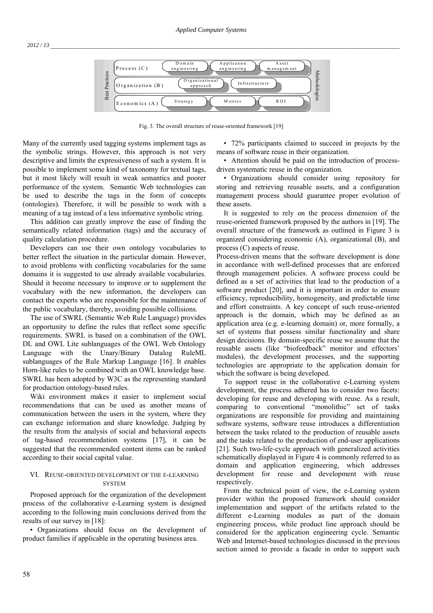

Fig. 3. The overall structure of reuse-oriented framework [19]

Many of the currently used tagging systems implement tags as the symbolic strings. However, this approach is not very descriptive and limits the expressiveness of such a system. It is possible to implement some kind of taxonomy for textual tags, but it most likely will result in weak semantics and poorer performance of the system. Semantic Web technologies can be used to describe the tags in the form of concepts (ontologies). Therefore, it will be possible to work with a meaning of a tag instead of a less informative symbolic string.

This addition can greatly improve the ease of finding the semantically related information (tags) and the accuracy of quality calculation procedure.

Developers can use their own ontology vocabularies to better reflect the situation in the particular domain. However, to avoid problems with conflicting vocabularies for the same domains it is suggested to use already available vocabularies. Should it become necessary to improve or to supplement the vocabulary with the new information, the developers can contact the experts who are responsible for the maintenance of the public vocabulary, thereby, avoiding possible collisions.

The use of SWRL (Semantic Web Rule Language) provides an opportunity to define the rules that reflect some specific requirements. SWRL is based on a combination of the OWL DL and OWL Lite sublanguages of the OWL Web Ontology Language with the Unary/Binary Datalog RuleML sublanguages of the Rule Markup Language [16]. It enables Horn-like rules to be combined with an OWL knowledge base. SWRL has been adopted by W3C as the representing standard for production ontology-based rules.

Wiki environment makes it easier to implement social recommendations that can be used as another means of communication between the users in the system, where they can exchange information and share knowledge. Judging by the results from the analysis of social and behavioral aspects of tag-based recommendation systems [17], it can be suggested that the recommended content items can be ranked according to their social capital value.

# VI. REUSE-ORIENTED DEVELOPMENT OF THE E-LEARNING **SYSTEM**

Proposed approach for the organization of the development process of the collaborative e-Learning system is designed according to the following main conclusions derived from the results of our survey in [18]:

• Organizations should focus on the development of product families if applicable in the operating business area.

• 72% participants claimed to succeed in projects by the means of software reuse in their organization.

• Attention should be paid on the introduction of processdriven systematic reuse in the organization.

• Organizations should consider using repository for storing and retrieving reusable assets, and a configuration management process should guarantee proper evolution of these assets.

It is suggested to rely on the process dimension of the reuse-oriented framework proposed by the authors in [19]. The overall structure of the framework as outlined in Figure 3 is organized considering economic (A), organizational (B), and process (C) aspects of reuse.

Process-driven means that the software development is done in accordance with well-defined processes that are enforced through management policies. A software process could be defined as a set of activities that lead to the production of a software product [20], and it is important in order to ensure efficiency, reproducibility, homogeneity, and predictable time and effort constraints. A key concept of such reuse-oriented approach is the domain, which may be defined as an application area (e.g. e-learning domain) or, more formally, a set of systems that possess similar functionality and share design decisions. By domain-specific reuse we assume that the reusable assets (like "biofeedback" monitor and effectors' modules), the development processes, and the supporting technologies are appropriate to the application domain for which the software is being developed. **EXERCT 1998**<br> **EXERCT**<br> **EXERCT**<br> **EXERCT**<br> **EXERCT**<br> **EXERCT**<br> **EXERCT**<br> **EXERCT**<br> **EXERCT**<br> **EXERCT**<br> **EXERCT**<br> **EXERCT**<br> **EXERCT**<br> **EXERCT**<br> **EXERCT**<br> **EXECTION ANOTE CONSECT TO ANOTE CONSECT (TO CONSECT TO CONSECT TO** 

To support reuse in the collaborative e-Learning system development, the process adhered has to consider two facets: developing for reuse and developing with reuse. As a result, comparing to conventional "monolithic" set of tasks organizations are responsible for providing and maintaining software systems, software reuse introduces a differentiation between the tasks related to the production of reusable assets and the tasks related to the production of end-user applications [21]. Such two-life-cycle approach with generalized activities schematically displayed in Figure 4 is commonly referred to as domain and application engineering, which addresses development for reuse and development with reuse respectively.

From the technical point of view, the e-Learning system provider within the proposed framework should consider implementation and support of the artifacts related to the different e-Learning modules as part of the domain engineering process, while product line approach should be considered for the application engineering cycle. Semantic Web and Internet-based technologies discussed in the previous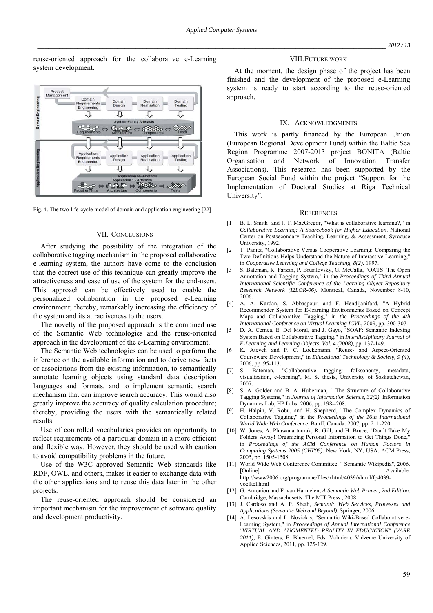reuse-oriented approach for the collaborative e-Learning system development.





### VII. CONCLUSIONS

After studying the possibility of the integration of the collaborative tagging mechanism in the proposed collaborative e-learning system, the authors have come to the conclusion that the correct use of this technique can greatly improve the attractiveness and ease of use of the system for the end-users. This approach can be effectively used to enable the personalized collaboration in the proposed e-Learning environment; thereby, remarkably increasing the efficiency of the system and its attractiveness to the users.

The novelty of the proposed approach is the combined use of the Semantic Web technologies and the reuse-oriented approach in the development of the e-Learning environment.

The Semantic Web technologies can be used to perform the inference on the available information and to derive new facts or associations from the existing information, to semantically annotate learning objects using standard data description languages and formats, and to implement semantic search mechanism that can improve search accuracy. This would also greatly improve the accuracy of quality calculation procedure; thereby, providing the users with the semantically related results.

Use of controlled vocabularies provides an opportunity to reflect requirements of a particular domain in a more efficient and flexible way. However, they should be used with caution to avoid compatibility problems in the future.

Use of the W3C approved Semantic Web standards like RDF, OWL, and others, makes it easier to exchange data with the other applications and to reuse this data later in the other projects.

The reuse-oriented approach should be considered an important mechanism for the improvement of software quality and development productivity.

## VIII.FUTURE WORK

 At the moment. the design phase of the project has been finished and the development of the proposed e-Learning system is ready to start according to the reuse-oriented approach.

## IX. ACKNOWLEDGMENTS

This work is partly financed by the European Union (European Regional Development Fund) within the Baltic Sea Region Programme 2007-2013 project BONITA (Baltic Organisation and Network of Innovation Transfer Associations). This research has been supported by the European Social Fund within the project "Support for the Implementation of Doctoral Studies at Riga Technical University".

#### **REFERENCES**

- [1] B. L. Smith and J. T. MacGregor, "What is collaborative learning?," in *Collaborative Learning: A Sourcebook for Higher Education*. National Center on Postsecondary Teaching, Learning, & Assessment, Syracuse University, 1992.
- [2] T. Panitz, "Collaborative Versus Cooperative Learning: Comparing the Two Definitions Helps Understand the Nature of Interactive Learning," in *Cooperative Learning and College Teaching, 8(2).* 1997.
- [3] S. Bateman, R. Farzan, P. Brusilovsky, G. McCalla, "OATS: The Open Annotation and Tagging System," in the *Proceedings of Third Annual International Scientific Conference of the Learning Object Repository Research Network (I2LOR-06)*. Montreal, Canada, November 8-10, 2006*.*
- [4] A. A. Kardan, S. Abbaspour, and F. Hendijanifard, "A Hybrid Recommender System for E-learning Environments Based on Concept Maps and Collaborative Tagging," in *the Proceedings of the 4th International Conference on Virtual Learning ICVL*, 2009, pp. 300-307.
- [5] D. A. Cernea, E. Del Moral, and J. Gayo, "SOAF: Semantic Indexing System Based on Collaborative Tagging," in *Interdisciplinary Journal of E-Learning and Learning Objects, Vol. 4 (2008)*, pp. 137-149.
- [6] K. Ateveh and P. C. Lockemann, "Reuse- and Aspect-Oriented Courseware Development," in *Educational Technology & Society, 9 (4)*, 2006, pp. 95-113.
- [7] S. Bateman, "Collaborative tagging: folksonomy, metadata, visualization, e-learning", M. S. thesis, University of Saskatchewan, 2007.
- [8] S. A. Golder and B. A. Huberman, " The Structure of Collaborative Tagging Systems," in *Journal of Information Science, 32(2)*. Information Dynamics Lab, HP Labs: 2006, pp. 198--208.
- [9] H. Halpin, V. Robu, and H. Shepherd, "The Complex Dynamics of Collaborative Tagging," in the *Proceedings of the 16th International World Wide Web Conference*. Banff, Canada: 2007, pp. 211-220.
- [10] W. Jones, A. Phuwanartnurak, R. Gill, and H. Bruce, "Don't Take My Folders Away! Organizing Personal Information to Get Things Done, in *Proceedings of the ACM Conference on Human Factors in Computing Systems 2005 (CHI'05)*. New York, NY, USA: ACM Press, 2005, pp. 1505-1508.
- [11] World Wide Web Conference Committee, " Semantic Wikipedia", 2006. [Online]. Available: http://www2006.org/programme/files/xhtml/4039/xhtml/fp4039 voelkel html
- [12] G. Antoniou and F. van Harmelen, *A Semantic Web Primer, 2nd Edition*. Cambridge, Massachusetts: The MIT Press , 2008.
- [13] J. Cardoso and A. P. Sheth, *Semantic Web Services, Processes and Applications (Semantic Web and Beyond)*. Springer, 2006.
- [14] A. Lesovskis and L. Novickis, "Semantic Wiki-Based Collaborative e-Learning System," in *Proceedings of Annual International Conference "VIRTUAL AND AUGMENTED REALITY IN EDUCATION" (VARE 2011)*, E. Ginters, E. Bluemel, Eds. Valmiera: Vidzeme University of Applied Sciences, 2011, pp. 125-129.